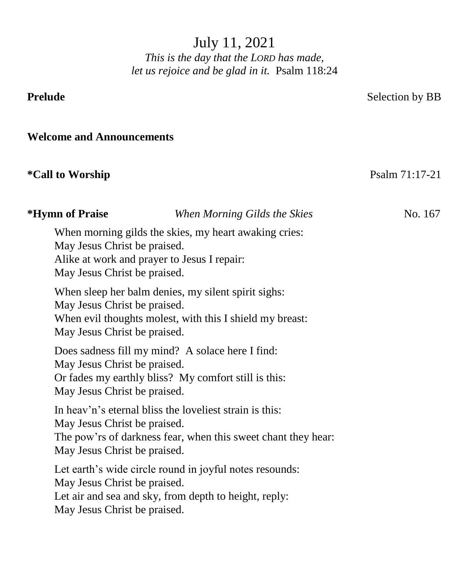July 11, 2021

*This is the day that the LORD has made, let us rejoice and be glad in it.* Psalm 118:24

**Prelude** Selection by BB

**Welcome and Announcements**

# **\*Call to Worship** Psalm 71:17-21

| *Hymn of Praise                                              | When Morning Gilds the Skies                                                                                             | No. 167 |
|--------------------------------------------------------------|--------------------------------------------------------------------------------------------------------------------------|---------|
| May Jesus Christ be praised.<br>May Jesus Christ be praised. | When morning gilds the skies, my heart awaking cries:<br>Alike at work and prayer to Jesus I repair:                     |         |
| May Jesus Christ be praised.<br>May Jesus Christ be praised. | When sleep her balm denies, my silent spirit sighs:<br>When evil thoughts molest, with this I shield my breast:          |         |
| May Jesus Christ be praised.<br>May Jesus Christ be praised. | Does sadness fill my mind? A solace here I find:<br>Or fades my earthly bliss? My comfort still is this:                 |         |
| May Jesus Christ be praised.<br>May Jesus Christ be praised. | In heav'n's eternal bliss the loveliest strain is this:<br>The pow'rs of darkness fear, when this sweet chant they hear: |         |
| May Jesus Christ be praised.<br>May Jesus Christ be praised. | Let earth's wide circle round in joyful notes resounds:<br>Let air and sea and sky, from depth to height, reply:         |         |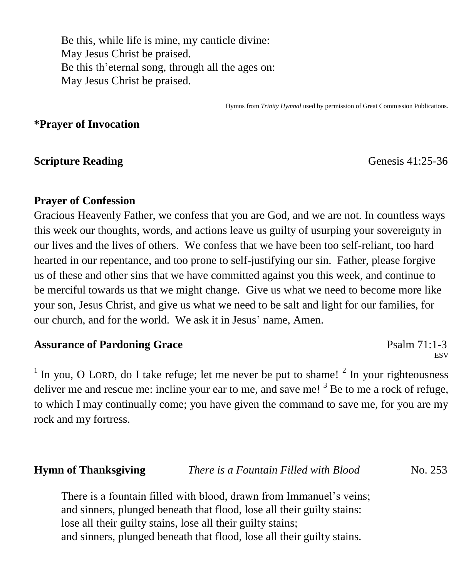Be this, while life is mine, my canticle divine: May Jesus Christ be praised. Be this th'eternal song, through all the ages on: May Jesus Christ be praised.

Hymns from *Trinity Hymnal* used by permission of Great Commission Publications.

### **\*Prayer of Invocation**

#### **Scripture Reading** Genesis 41:25-36

### **Prayer of Confession**

Gracious Heavenly Father, we confess that you are God, and we are not. In countless ways this week our thoughts, words, and actions leave us guilty of usurping your sovereignty in our lives and the lives of others. We confess that we have been too self-reliant, too hard hearted in our repentance, and too prone to self-justifying our sin. Father, please forgive us of these and other sins that we have committed against you this week, and continue to be merciful towards us that we might change. Give us what we need to become more like your son, Jesus Christ, and give us what we need to be salt and light for our families, for our church, and for the world. We ask it in Jesus' name, Amen.

#### Assurance of Pardoning Grace **Particle 12.1-3** Psalm 71:1-3

**ESV** 

<sup>1</sup> In you, O LORD, do I take refuge; let me never be put to shame!  $2^2$  In your righteousness deliver me and rescue me: incline your ear to me, and save me!  $3$  Be to me a rock of refuge, to which I may continually come; you have given the command to save me, for you are my rock and my fortress.

| <b>Hymn of Thanksgiving</b> | There is a Fountain Filled with Blood | No. 253 |
|-----------------------------|---------------------------------------|---------|
|                             |                                       |         |

There is a fountain filled with blood, drawn from Immanuel's veins; and sinners, plunged beneath that flood, lose all their guilty stains: lose all their guilty stains, lose all their guilty stains; and sinners, plunged beneath that flood, lose all their guilty stains.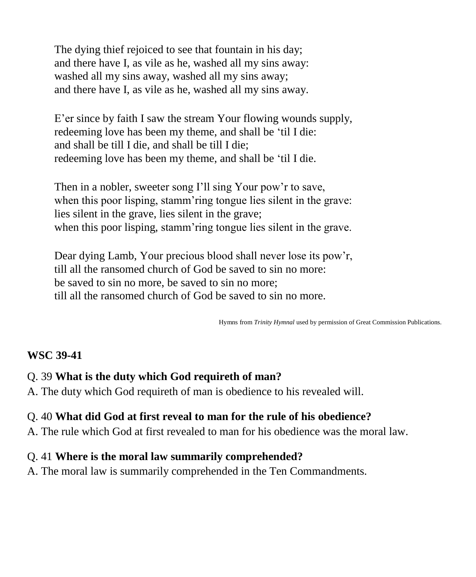The dying thief rejoiced to see that fountain in his day; and there have I, as vile as he, washed all my sins away: washed all my sins away, washed all my sins away; and there have I, as vile as he, washed all my sins away.

E'er since by faith I saw the stream Your flowing wounds supply, redeeming love has been my theme, and shall be 'til I die: and shall be till I die, and shall be till I die; redeeming love has been my theme, and shall be 'til I die.

Then in a nobler, sweeter song I'll sing Your pow'r to save, when this poor lisping, stamm'ring tongue lies silent in the grave: lies silent in the grave, lies silent in the grave; when this poor lisping, stamm'ring tongue lies silent in the grave.

Dear dying Lamb, Your precious blood shall never lose its pow'r, till all the ransomed church of God be saved to sin no more: be saved to sin no more, be saved to sin no more; till all the ransomed church of God be saved to sin no more.

Hymns from *Trinity Hymnal* used by permission of Great Commission Publications.

# **WSC 39-41**

# Q. 39 **What is the duty which God requireth of man?**

A. The duty which God requireth of man is obedience to his revealed will.

# Q. 40 **What did God at first reveal to man for the rule of his obedience?**

A. The rule which God at first revealed to man for his obedience was the moral law.

# Q. 41 **Where is the moral law summarily comprehended?**

A. The moral law is summarily comprehended in the Ten Commandments.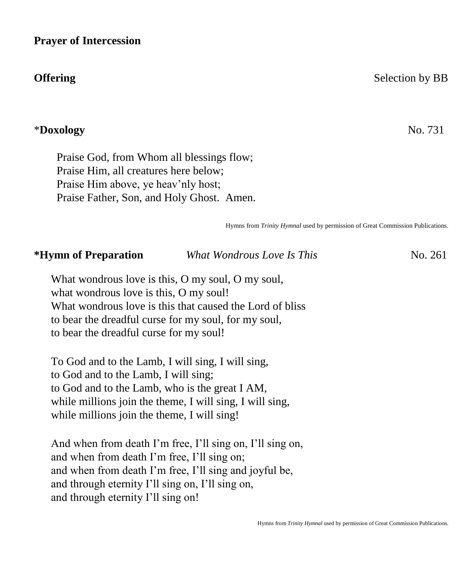#### **Prayer of Intercession**

#### \***Doxology** No. 731

 Praise God, from Whom all blessings flow; Praise Him, all creatures here below; Praise Him above, ye heav'nly host; Praise Father, Son, and Holy Ghost. Amen.

Hymns from *Trinity Hymnal* used by permission of Great Commission Publications.

| *Hymn of Preparation | What Wondrous Love Is This | No. 261 |
|----------------------|----------------------------|---------|
|----------------------|----------------------------|---------|

What wondrous love is this, O my soul, O my soul, what wondrous love is this, O my soul! What wondrous love is this that caused the Lord of bliss to bear the dreadful curse for my soul, for my soul, to bear the dreadful curse for my soul!

To God and to the Lamb, I will sing, I will sing, to God and to the Lamb, I will sing; to God and to the Lamb, who is the great I AM, while millions join the theme, I will sing, I will sing, while millions join the theme, I will sing!

And when from death I'm free, I'll sing on, I'll sing on, and when from death I'm free, I'll sing on; and when from death I'm free, I'll sing and joyful be, and through eternity I'll sing on, I'll sing on, and through eternity I'll sing on!

### **Offering** Selection by BB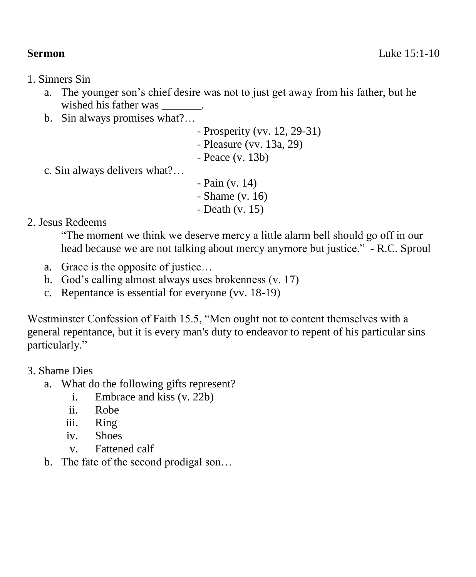- 1. Sinners Sin
	- a. The younger son's chief desire was not to just get away from his father, but he wished his father was  $\qquad \qquad$ .
	- b. Sin always promises what?…
		- Prosperity (vv. 12, 29-31)
		- Pleasure (vv. 13a, 29)
		- Peace (v. 13b)
	- c. Sin always delivers what?…
- Pain (v. 14)
- Shame (v. 16)
- Death (v. 15)

2. Jesus Redeems

"The moment we think we deserve mercy a little alarm bell should go off in our head because we are not talking about mercy anymore but justice." - R.C. Sproul

- a. Grace is the opposite of justice…
- b. God's calling almost always uses brokenness (v. 17)
- c. Repentance is essential for everyone (vv. 18-19)

Westminster Confession of Faith 15.5, "Men ought not to content themselves with a general repentance, but it is every man's duty to endeavor to repent of his particular sins particularly."

- 3. Shame Dies
	- a. What do the following gifts represent?
		- i. Embrace and kiss (v. 22b)
		- ii. Robe
		- iii. Ring
		- iv. Shoes
		- v. Fattened calf
	- b. The fate of the second prodigal son…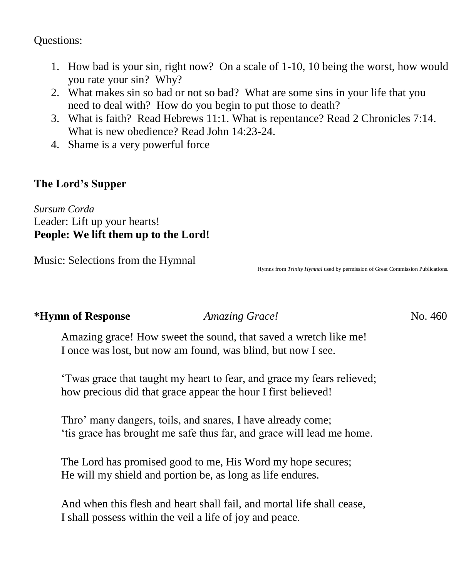Questions:

- 1. How bad is your sin, right now? On a scale of 1-10, 10 being the worst, how would you rate your sin? Why?
- 2. What makes sin so bad or not so bad? What are some sins in your life that you need to deal with? How do you begin to put those to death?
- 3. What is faith? Read Hebrews 11:1. What is repentance? Read 2 Chronicles 7:14. What is new obedience? Read John 14:23-24.
- 4. Shame is a very powerful force

# **The Lord's Supper**

*Sursum Corda* Leader: Lift up your hearts! **People: We lift them up to the Lord!** 

Music: Selections from the Hymnal

Hymns from *Trinity Hymnal* used by permission of Great Commission Publications.

### **\*Hymn of Response** *Amazing Grace!* No. 460

Amazing grace! How sweet the sound, that saved a wretch like me! I once was lost, but now am found, was blind, but now I see.

'Twas grace that taught my heart to fear, and grace my fears relieved; how precious did that grace appear the hour I first believed!

Thro' many dangers, toils, and snares, I have already come; 'tis grace has brought me safe thus far, and grace will lead me home.

The Lord has promised good to me, His Word my hope secures; He will my shield and portion be, as long as life endures.

And when this flesh and heart shall fail, and mortal life shall cease, I shall possess within the veil a life of joy and peace.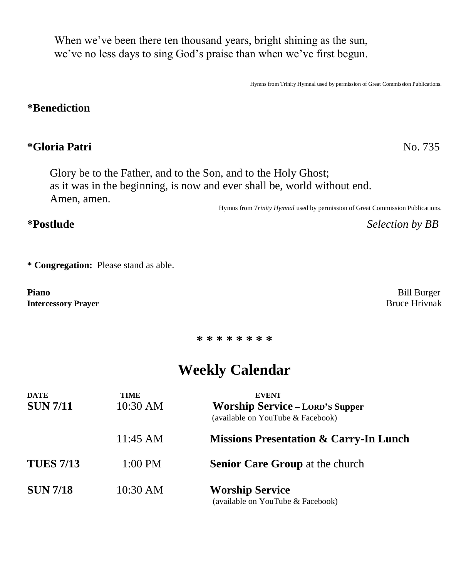When we've been there ten thousand years, bright shining as the sun, we've no less days to sing God's praise than when we've first begun.

Hymns from Trinity Hymnal used by permission of Great Commission Publications.

#### **\*Benediction**

## **\*Gloria Patri** No. 735

 Glory be to the Father, and to the Son, and to the Holy Ghost; as it was in the beginning, is now and ever shall be, world without end. Amen, amen.

Hymns from *Trinity Hymnal* used by permission of Great Commission Publications.

**\*Postlude** *Selection by BB*

**\* Congregation:** Please stand as able.

**Piano** Bill Burger **Intercessory Prayer** Bruce Hrivnak

**\* \* \* \* \* \* \* \***

# **Weekly Calendar**

| <b>DATE</b><br><b>SUN 7/11</b> | TIME<br>10:30 AM | <b>EVENT</b><br><b>Worship Service - LORD'S Supper</b><br>(available on YouTube & Facebook) |  |  |  |
|--------------------------------|------------------|---------------------------------------------------------------------------------------------|--|--|--|
|                                | 11:45 AM         | <b>Missions Presentation &amp; Carry-In Lunch</b>                                           |  |  |  |
| <b>TUES 7/13</b>               | 1:00 PM          | <b>Senior Care Group at the church</b>                                                      |  |  |  |
| <b>SUN 7/18</b>                | $10:30$ AM       | <b>Worship Service</b><br>(available on YouTube & Facebook)                                 |  |  |  |